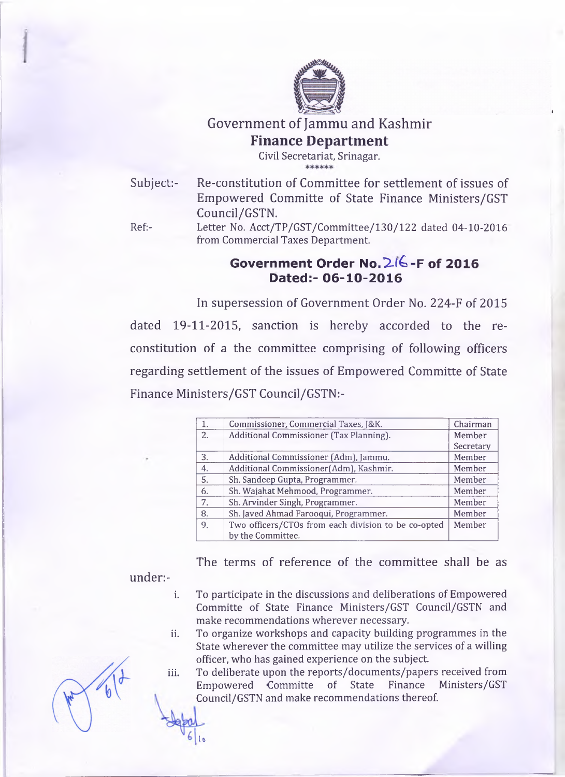

## Government of Jammu and Kashmir **Finance Department**

Civil Secretariat, Srinagar.

Subject:- Re-constitution of Committee for settlement of issues of Empowered Committe of State Finance Ministers/GST Council/GSTN.

Ref:- Letter No. Acct/TP/GST/Committee/130/122 dated 04-10-2016 from Commercial Taxes Department.

## Government Order No. 2<sup>6</sup>-F of 2016 **Dated:- 06-10-2016**

In supersession of Government Order No. 224-F of 2015 dated 19-11-2015, sanction is hereby accorded to the reconstitution of a the committee comprising of following officers regarding settlement of the issues of Empowered Committe of State Finance Ministers/GST Council/GSTN:-

| 1. | Commissioner, Commercial Taxes, J&K.                | Chairman  |
|----|-----------------------------------------------------|-----------|
| 2. | Additional Commissioner (Tax Planning).             | Member    |
|    |                                                     | Secretary |
| 3. | Additional Commissioner (Adm), Jammu.               | Member    |
| 4. | Additional Commissioner(Adm), Kashmir.              | Member    |
| 5. | Sh. Sandeep Gupta, Programmer.                      | Member    |
| 6. | Sh. Wajahat Mehmood, Programmer.                    | Member    |
| 7. | Sh. Arvinder Singh, Programmer.                     | Member    |
| 8. | Sh. Javed Ahmad Farooqui, Programmer.               | Member    |
| 9. | Two officers/CTOs from each division to be co-opted | Member    |
|    | by the Committee.                                   |           |

The terms of reference of the committee shall be as

under:-

 $\mathbf{I}$ 

- i. To participate in the discussions and deliberations of Empowered Committe of State Finance Ministers/GST Council/GSTN and make recommendations wherever necessary.
- ii. To organize workshops and capacity building programmes in the State wherever the committee may utilize the services of a willing officer, who has gained experience on the subject.

iii. To deliberate upon the reports/documents/papers received from Empowered Committe of State Finance Ministers/GST Council/GSTN and make recommendations thereof.